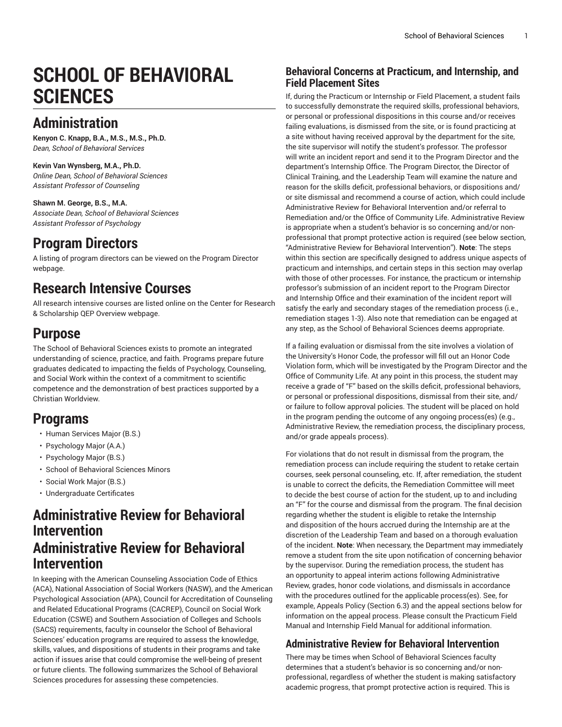# **SCHOOL OF BEHAVIORAL SCIENCES**

## **Administration**

**Kenyon C. Knapp, B.A., M.S., M.S., Ph.D.** *Dean, School of Behavioral Services*

**Kevin Van Wynsberg, M.A., Ph.D.** *Online Dean, School of Behavioral Sciences Assistant Professor of Counseling*

**Shawn M. George, B.S., M.A.** *Associate Dean, School of Behavioral Sciences Assistant Professor of Psychology*

## **Program Directors**

A listing of program directors can be viewed on the [Program](https://www.liberty.edu/institutional-effectiveness/academic-program-directors/) Director webpage.

## **Research Intensive Courses**

All research intensive courses are listed online on the Center for Research & Scholarship QEP [Overview](https://www.liberty.edu/center-for-research-scholarship/qep-overview/) webpage.

## **Purpose**

The School of [Behavioral](https://www.liberty.edu/behavioral-sciences/) Sciences exists to promote an integrated understanding of science, practice, and faith. Programs prepare future graduates dedicated to impacting the fields of Psychology, Counseling, and Social Work within the context of a commitment to scientific competence and the demonstration of best practices supported by a Christian Worldview.

## **Programs**

- Human [Services](https://catalog.liberty.edu/undergraduate/colleges-schools/behavioral-sciences/human-services-major-bs/) Major (B.S.)
- [Psychology](https://catalog.liberty.edu/undergraduate/colleges-schools/behavioral-sciences/psychology-major-aa/) Major (A.A.)
- [Psychology](https://catalog.liberty.edu/undergraduate/colleges-schools/behavioral-sciences/psychology-major-bs/) Major (B.S.)
- School of [Behavioral](https://catalog.liberty.edu/undergraduate/colleges-schools/behavioral-sciences/minors/) Sciences Minors
- [Social](https://catalog.liberty.edu/undergraduate/colleges-schools/behavioral-sciences/social-work-major-bs/) Work Major (B.S.)
- [Undergraduate](https://catalog.liberty.edu/undergraduate/colleges-schools/behavioral-sciences/undergraduate-certificates/) Certificates

### **Administrative Review for Behavioral Intervention Administrative Review for Behavioral Intervention**

In keeping with the American Counseling Association Code of Ethics (ACA), National Association of Social Workers (NASW), and the American Psychological Association (APA), Council for Accreditation of Counseling and Related Educational Programs (CACREP), Council on Social Work Education (CSWE) and Southern Association of Colleges and Schools (SACS) requirements, faculty in counselor the School of Behavioral Sciences' education programs are required to assess the knowledge, skills, values, and dispositions of students in their programs and take action if issues arise that could compromise the well-being of present or future clients. The following summarizes the School of Behavioral Sciences procedures for assessing these competencies.

### **Behavioral Concerns at Practicum, and Internship, and Field Placement Sites**

If, during the Practicum or Internship or Field Placement, a student fails to successfully demonstrate the required skills, professional behaviors, or personal or professional dispositions in this course and/or receives failing evaluations, is dismissed from the site, or is found practicing at a site without having received approval by the department for the site, the site supervisor will notify the student's professor. The professor will write an incident report and send it to the Program Director and the department's Internship Office. The Program Director, the Director of Clinical Training, and the Leadership Team will examine the nature and reason for the skills deficit, professional behaviors, or dispositions and/ or site dismissal and recommend a course of action, which could include Administrative Review for Behavioral Intervention and/or referral to Remediation and/or the Office of Community Life. Administrative Review is appropriate when a student's behavior is so concerning and/or nonprofessional that prompt protective action is required (see below section, "Administrative Review for Behavioral Intervention"). **Note**: The steps within this section are specifically designed to address unique aspects of practicum and internships, and certain steps in this section may overlap with those of other processes. For instance, the practicum or internship professor's submission of an incident report to the Program Director and Internship Office and their examination of the incident report will satisfy the early and secondary stages of the remediation process (i.e., remediation stages 1-3). Also note that remediation can be engaged at any step, as the School of Behavioral Sciences deems appropriate.

If a failing evaluation or dismissal from the site involves a violation of the University's Honor Code, the professor will fill out an Honor Code Violation form, which will be investigated by the Program Director and the Office of Community Life. At any point in this process, the student may receive a grade of "F" based on the skills deficit, professional behaviors, or personal or professional dispositions, dismissal from their site, and/ or failure to follow approval policies. The student will be placed on hold in the program pending the outcome of any ongoing process(es) (e.g., Administrative Review, the remediation process, the disciplinary process, and/or grade appeals process).

For violations that do not result in dismissal from the program, the remediation process can include requiring the student to retake certain courses, seek personal counseling, etc. If, after remediation, the student is unable to correct the deficits, the Remediation Committee will meet to decide the best course of action for the student, up to and including an "F" for the course and dismissal from the program. The final decision regarding whether the student is eligible to retake the Internship and disposition of the hours accrued during the Internship are at the discretion of the Leadership Team and based on a thorough evaluation of the incident. **Note**: When necessary, the Department may immediately remove a student from the site upon notification of concerning behavior by the supervisor. During the remediation process, the student has an opportunity to appeal interim actions following Administrative Review, grades, honor code violations, and dismissals in accordance with the procedures outlined for the applicable process(es). See, for example, Appeals Policy (Section 6.3) and the appeal sections below for information on the appeal process. Please consult the Practicum Field Manual and Internship Field Manual for additional information.

### **Administrative Review for Behavioral Intervention**

There may be times when School of Behavioral Sciences faculty determines that a student's behavior is so concerning and/or nonprofessional, regardless of whether the student is making satisfactory academic progress, that prompt protective action is required. This is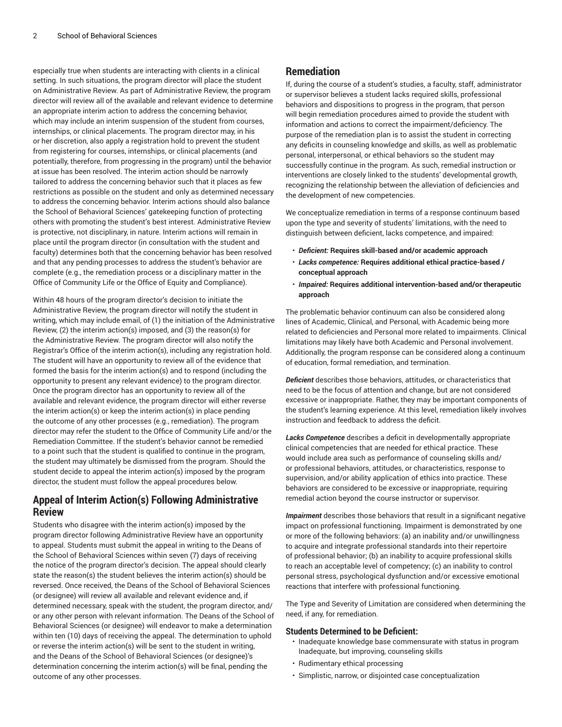especially true when students are interacting with clients in a clinical setting. In such situations, the program director will place the student on Administrative Review. As part of Administrative Review, the program director will review all of the available and relevant evidence to determine an appropriate interim action to address the concerning behavior, which may include an interim suspension of the student from courses, internships, or clinical placements. The program director may, in his or her discretion, also apply a registration hold to prevent the student from registering for courses, internships, or clinical placements (and potentially, therefore, from progressing in the program) until the behavior at issue has been resolved. The interim action should be narrowly tailored to address the concerning behavior such that it places as few restrictions as possible on the student and only as determined necessary to address the concerning behavior. Interim actions should also balance the School of Behavioral Sciences' gatekeeping function of protecting others with promoting the student's best interest. Administrative Review is protective, not disciplinary, in nature. Interim actions will remain in place until the program director (in consultation with the student and faculty) determines both that the concerning behavior has been resolved and that any pending processes to address the student's behavior are complete (e.g., the remediation process or a disciplinary matter in the Office of Community Life or the Office of Equity and Compliance).

Within 48 hours of the program director's decision to initiate the Administrative Review, the program director will notify the student in writing, which may include email, of (1) the initiation of the Administrative Review, (2) the interim action(s) imposed, and (3) the reason(s) for the Administrative Review. The program director will also notify the Registrar's Office of the interim action(s), including any registration hold. The student will have an opportunity to review all of the evidence that formed the basis for the interim action(s) and to respond (including the opportunity to present any relevant evidence) to the program director. Once the program director has an opportunity to review all of the available and relevant evidence, the program director will either reverse the interim action(s) or keep the interim action(s) in place pending the outcome of any other processes (e.g., remediation). The program director may refer the student to the Office of Community Life and/or the Remediation Committee. If the student's behavior cannot be remedied to a point such that the student is qualified to continue in the program, the student may ultimately be dismissed from the program. Should the student decide to appeal the interim action(s) imposed by the program director, the student must follow the appeal procedures below.

### **Appeal of Interim Action(s) Following Administrative Review**

Students who disagree with the interim action(s) imposed by the program director following Administrative Review have an opportunity to appeal. Students must submit the appeal in writing to the Deans of the School of Behavioral Sciences within seven (7) days of receiving the notice of the program director's decision. The appeal should clearly state the reason(s) the student believes the interim action(s) should be reversed. Once received, the Deans of the School of Behavioral Sciences (or designee) will review all available and relevant evidence and, if determined necessary, speak with the student, the program director, and/ or any other person with relevant information. The Deans of the School of Behavioral Sciences (or designee) will endeavor to make a determination within ten (10) days of receiving the appeal. The determination to uphold or reverse the interim action(s) will be sent to the student in writing, and the Deans of the School of Behavioral Sciences (or designee)'s determination concerning the interim action(s) will be final, pending the outcome of any other processes.

### **Remediation**

If, during the course of a student's studies, a faculty, staff, administrator or supervisor believes a student lacks required skills, professional behaviors and dispositions to progress in the program, that person will begin remediation procedures aimed to provide the student with information and actions to correct the impairment/deficiency. The purpose of the remediation plan is to assist the student in correcting any deficits in counseling knowledge and skills, as well as problematic personal, interpersonal, or ethical behaviors so the student may successfully continue in the program. As such, remedial instruction or interventions are closely linked to the students' developmental growth, recognizing the relationship between the alleviation of deficiencies and the development of new competencies.

We conceptualize remediation in terms of a response continuum based upon the type and severity of students' limitations, with the need to distinguish between deficient, lacks competence, and impaired:

- *Deficient:* **Requires skill-based and/or academic approach**
- *Lacks competence:* **Requires additional ethical practice-based / conceptual approach**
- *Impaired:* **Requires additional intervention-based and/or therapeutic approach**

The problematic behavior continuum can also be considered along lines of Academic, Clinical, and Personal, with Academic being more related to deficiencies and Personal more related to impairments. Clinical limitations may likely have both Academic and Personal involvement. Additionally, the program response can be considered along a continuum of education, formal remediation, and termination.

*Deficient* describes those behaviors, attitudes, or characteristics that need to be the focus of attention and change, but are not considered excessive or inappropriate. Rather, they may be important components of the student's learning experience. At this level, remediation likely involves instruction and feedback to address the deficit.

*Lacks Competence* describes a deficit in developmentally appropriate clinical competencies that are needed for ethical practice. These would include area such as performance of counseling skills and/ or professional behaviors, attitudes, or characteristics, response to supervision, and/or ability application of ethics into practice. These behaviors are considered to be excessive or inappropriate, requiring remedial action beyond the course instructor or supervisor.

*Impairment* describes those behaviors that result in a significant negative impact on professional functioning. Impairment is demonstrated by one or more of the following behaviors: (a) an inability and/or unwillingness to acquire and integrate professional standards into their repertoire of professional behavior; (b) an inability to acquire professional skills to reach an acceptable level of competency; (c) an inability to control personal stress, psychological dysfunction and/or excessive emotional reactions that interfere with professional functioning.

The Type and Severity of Limitation are considered when determining the need, if any, for remediation.

#### **Students Determined to be Deficient:**

- Inadequate knowledge base commensurate with status in program Inadequate, but improving, counseling skills
- Rudimentary ethical processing
- Simplistic, narrow, or disjointed case conceptualization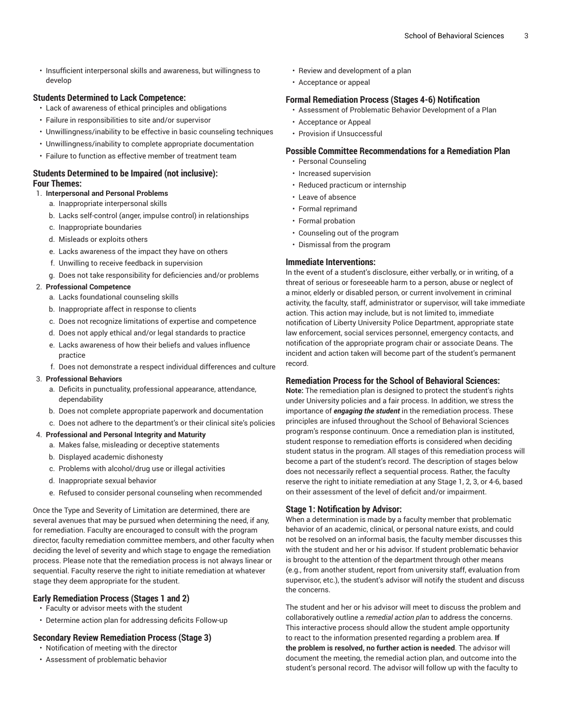• Insufficient interpersonal skills and awareness, but willingness to develop

#### **Students Determined to Lack Competence:**

- Lack of awareness of ethical principles and obligations
- Failure in responsibilities to site and/or supervisor
- Unwillingness/inability to be effective in basic counseling techniques
- Unwillingness/inability to complete appropriate documentation
- Failure to function as effective member of treatment team

#### **Students Determined to be Impaired (not inclusive): Four Themes:**

#### 1. **Interpersonal and Personal Problems**

- a. Inappropriate interpersonal skills
- b. Lacks self-control (anger, impulse control) in relationships
- c. Inappropriate boundaries
- d. Misleads or exploits others
- e. Lacks awareness of the impact they have on others
- f. Unwilling to receive feedback in supervision
- g. Does not take responsibility for deficiencies and/or problems

#### 2. **Professional Competence**

- a. Lacks foundational counseling skills
- b. Inappropriate affect in response to clients
- c. Does not recognize limitations of expertise and competence
- d. Does not apply ethical and/or legal standards to practice
- e. Lacks awareness of how their beliefs and values influence practice
- f. Does not demonstrate a respect individual differences and culture

#### 3. **Professional Behaviors**

- a. Deficits in punctuality, professional appearance, attendance, dependability
- b. Does not complete appropriate paperwork and documentation
- c. Does not adhere to the department's or their clinical site's policies

#### 4. **Professional and Personal Integrity and Maturity**

- a. Makes false, misleading or deceptive statements
- b. Displayed academic dishonesty
- c. Problems with alcohol/drug use or illegal activities
- d. Inappropriate sexual behavior
- e. Refused to consider personal counseling when recommended

Once the Type and Severity of Limitation are determined, there are several avenues that may be pursued when determining the need, if any, for remediation. Faculty are encouraged to consult with the program director, faculty remediation committee members, and other faculty when deciding the level of severity and which stage to engage the remediation process. Please note that the remediation process is not always linear or sequential. Faculty reserve the right to initiate remediation at whatever stage they deem appropriate for the student.

#### **Early Remediation Process (Stages 1 and 2)**

- Faculty or advisor meets with the student
- Determine action plan for addressing deficits Follow-up

#### **Secondary Review Remediation Process (Stage 3)**

- Notification of meeting with the director
- Assessment of problematic behavior
- Review and development of a plan
- Acceptance or appeal

#### **Formal Remediation Process (Stages 4-6) Notification**

- Assessment of Problematic Behavior Development of a Plan
- Acceptance or Appeal
- Provision if Unsuccessful

#### **Possible Committee Recommendations for a Remediation Plan**

- Personal Counseling
- Increased supervision
- Reduced practicum or internship
- Leave of absence
- Formal reprimand
- Formal probation
- Counseling out of the program
- Dismissal from the program

#### **Immediate Interventions:**

In the event of a student's disclosure, either verbally, or in writing, of a threat of serious or foreseeable harm to a person, abuse or neglect of a minor, elderly or disabled person, or current involvement in criminal activity, the faculty, staff, administrator or supervisor, will take immediate action. This action may include, but is not limited to, immediate notification of Liberty University Police Department, appropriate state law enforcement, social services personnel, emergency contacts, and notification of the appropriate program chair or associate Deans. The incident and action taken will become part of the student's permanent record.

#### **Remediation Process for the School of Behavioral Sciences:**

**Note:** The remediation plan is designed to protect the student's rights under University policies and a fair process. In addition, we stress the importance of *engaging the student* in the remediation process. These principles are infused throughout the School of Behavioral Sciences program's response continuum. Once a remediation plan is instituted, student response to remediation efforts is considered when deciding student status in the program. All stages of this remediation process will become a part of the student's record. The description of stages below does not necessarily reflect a sequential process. Rather, the faculty reserve the right to initiate remediation at any Stage 1, 2, 3, or 4-6, based on their assessment of the level of deficit and/or impairment.

#### **Stage 1: Notification by Advisor:**

When a determination is made by a faculty member that problematic behavior of an academic, clinical, or personal nature exists, and could not be resolved on an informal basis, the faculty member discusses this with the student and her or his advisor. If student problematic behavior is brought to the attention of the department through other means (e.g., from another student, report from university staff, evaluation from supervisor, etc.), the student's advisor will notify the student and discuss the concerns.

The student and her or his advisor will meet to discuss the problem and collaboratively outline a *remedial action plan* to address the concerns. This interactive process should allow the student ample opportunity to react to the information presented regarding a problem area. **If the problem is resolved, no further action is needed**. The advisor will document the meeting, the remedial action plan, and outcome into the student's personal record. The advisor will follow up with the faculty to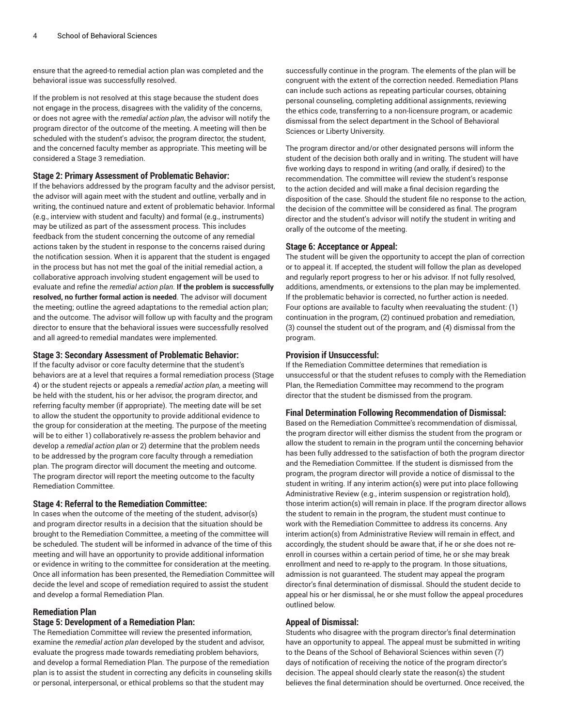ensure that the agreed-to remedial action plan was completed and the behavioral issue was successfully resolved.

If the problem is not resolved at this stage because the student does not engage in the process, disagrees with the validity of the concerns, or does not agree with the *remedial action plan*, the advisor will notify the program director of the outcome of the meeting. A meeting will then be scheduled with the student's advisor, the program director, the student, and the concerned faculty member as appropriate. This meeting will be considered a Stage 3 remediation.

#### **Stage 2: Primary Assessment of Problematic Behavior:**

If the behaviors addressed by the program faculty and the advisor persist, the advisor will again meet with the student and outline, verbally and in writing, the continued nature and extent of problematic behavior. Informal (e.g., interview with student and faculty) and formal (e.g., instruments) may be utilized as part of the assessment process. This includes feedback from the student concerning the outcome of any remedial actions taken by the student in response to the concerns raised during the notification session. When it is apparent that the student is engaged in the process but has not met the goal of the initial remedial action, a collaborative approach involving student engagement will be used to evaluate and refine the *remedial action plan*. **If the problem is successfully resolved, no further formal action is needed**. The advisor will document the meeting; outline the agreed adaptations to the remedial action plan; and the outcome. The advisor will follow up with faculty and the program director to ensure that the behavioral issues were successfully resolved and all agreed-to remedial mandates were implemented.

#### **Stage 3: Secondary Assessment of Problematic Behavior:**

If the faculty advisor or core faculty determine that the student's behaviors are at a level that requires a formal remediation process (Stage 4) or the student rejects or appeals a *remedial action plan*, a meeting will be held with the student, his or her advisor, the program director, and referring faculty member (if appropriate). The meeting date will be set to allow the student the opportunity to provide additional evidence to the group for consideration at the meeting. The purpose of the meeting will be to either 1) collaboratively re-assess the problem behavior and develop a *remedial action plan* or 2) determine that the problem needs to be addressed by the program core faculty through a remediation plan. The program director will document the meeting and outcome. The program director will report the meeting outcome to the faculty Remediation Committee.

#### **Stage 4: Referral to the Remediation Committee:**

In cases when the outcome of the meeting of the student, advisor(s) and program director results in a decision that the situation should be brought to the Remediation Committee, a meeting of the committee will be scheduled. The student will be informed in advance of the time of this meeting and will have an opportunity to provide additional information or evidence in writing to the committee for consideration at the meeting. Once all information has been presented, the Remediation Committee will decide the level and scope of remediation required to assist the student and develop a formal Remediation Plan.

#### **Remediation Plan**

#### **Stage 5: Development of a Remediation Plan:**

The Remediation Committee will review the presented information, examine the *remedial action plan* developed by the student and advisor, evaluate the progress made towards remediating problem behaviors, and develop a formal Remediation Plan. The purpose of the remediation plan is to assist the student in correcting any deficits in counseling skills or personal, interpersonal, or ethical problems so that the student may

successfully continue in the program. The elements of the plan will be congruent with the extent of the correction needed. Remediation Plans can include such actions as repeating particular courses, obtaining personal counseling, completing additional assignments, reviewing the ethics code, transferring to a non-licensure program, or academic dismissal from the select department in the School of Behavioral Sciences or Liberty University.

The program director and/or other designated persons will inform the student of the decision both orally and in writing. The student will have five working days to respond in writing (and orally, if desired) to the recommendation. The committee will review the student's response to the action decided and will make a final decision regarding the disposition of the case. Should the student file no response to the action, the decision of the committee will be considered as final. The program director and the student's advisor will notify the student in writing and orally of the outcome of the meeting.

#### **Stage 6: Acceptance or Appeal:**

The student will be given the opportunity to accept the plan of correction or to appeal it. If accepted, the student will follow the plan as developed and regularly report progress to her or his advisor. If not fully resolved, additions, amendments, or extensions to the plan may be implemented. If the problematic behavior is corrected, no further action is needed. Four options are available to faculty when reevaluating the student: (1) continuation in the program, (2) continued probation and remediation, (3) counsel the student out of the program, and (4) dismissal from the program.

#### **Provision if Unsuccessful:**

If the Remediation Committee determines that remediation is unsuccessful or that the student refuses to comply with the Remediation Plan, the Remediation Committee may recommend to the program director that the student be dismissed from the program.

#### **Final Determination Following Recommendation of Dismissal:**

Based on the Remediation Committee's recommendation of dismissal, the program director will either dismiss the student from the program or allow the student to remain in the program until the concerning behavior has been fully addressed to the satisfaction of both the program director and the Remediation Committee. If the student is dismissed from the program, the program director will provide a notice of dismissal to the student in writing. If any interim action(s) were put into place following Administrative Review (e.g., interim suspension or registration hold), those interim action(s) will remain in place. If the program director allows the student to remain in the program, the student must continue to work with the Remediation Committee to address its concerns. Any interim action(s) from Administrative Review will remain in effect, and accordingly, the student should be aware that, if he or she does not reenroll in courses within a certain period of time, he or she may break enrollment and need to re-apply to the program. In those situations, admission is not guaranteed. The student may appeal the program director's final determination of dismissal. Should the student decide to appeal his or her dismissal, he or she must follow the appeal procedures outlined below.

#### **Appeal of Dismissal:**

Students who disagree with the program director's final determination have an opportunity to appeal. The appeal must be submitted in writing to the Deans of the School of Behavioral Sciences within seven (7) days of notification of receiving the notice of the program director's decision. The appeal should clearly state the reason(s) the student believes the final determination should be overturned. Once received, the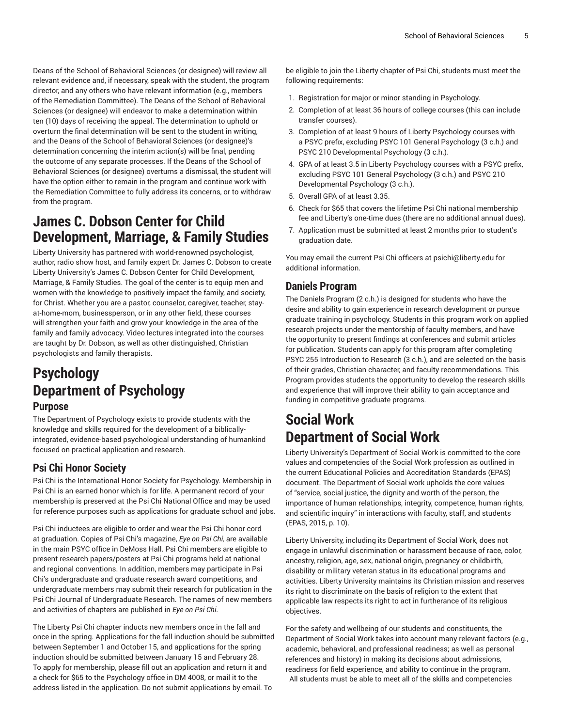Deans of the School of Behavioral Sciences (or designee) will review all relevant evidence and, if necessary, speak with the student, the program director, and any others who have relevant information (e.g., members of the Remediation Committee). The Deans of the School of Behavioral Sciences (or designee) will endeavor to make a determination within ten (10) days of receiving the appeal. The determination to uphold or overturn the final determination will be sent to the student in writing, and the Deans of the School of Behavioral Sciences (or designee)'s determination concerning the interim action(s) will be final, pending the outcome of any separate processes. If the Deans of the School of Behavioral Sciences (or designee) overturns a dismissal, the student will have the option either to remain in the program and continue work with the Remediation Committee to fully address its concerns, or to withdraw from the program.

## **James C. Dobson Center for Child Development, Marriage, & Family Studies**

Liberty University has partnered with world-renowned psychologist, author, radio show host, and family expert Dr. James C. Dobson to create Liberty University's James C. Dobson Center for Child [Development,](https://www.liberty.edu/online/james-dobson-center/) [Marriage,](https://www.liberty.edu/online/james-dobson-center/) & Family Studies. The goal of the center is to equip men and women with the knowledge to positively impact the family, and society, for Christ. Whether you are a pastor, counselor, caregiver, teacher, stayat-home-mom, businessperson, or in any other field, these courses will strengthen your faith and grow your knowledge in the area of the family and family advocacy. Video lectures integrated into the courses are taught by Dr. Dobson, as well as other distinguished, Christian psychologists and family therapists.

# **Psychology Department of Psychology**

### **Purpose**

The [Department](https://www.liberty.edu/behavioral-sciences/psychology/) of Psychology exists to provide students with the knowledge and skills required for the development of a biblicallyintegrated, evidence-based psychological understanding of humankind focused on practical application and research.

### **Psi Chi Honor Society**

Psi Chi is the International Honor Society for Psychology. Membership in Psi Chi is an earned honor which is for life. A permanent record of your membership is preserved at the Psi Chi National Office and may be used for reference purposes such as applications for graduate school and jobs.

Psi Chi inductees are eligible to order and wear the Psi Chi honor cord at graduation. Copies of Psi Chi's magazine, *Eye on Psi Chi,* are available in the main PSYC office in DeMoss Hall. Psi Chi members are eligible to present research papers/posters at Psi Chi programs held at national and regional conventions. In addition, members may participate in Psi Chi's undergraduate and graduate research award competitions, and undergraduate members may submit their research for publication in the Psi Chi Journal of Undergraduate Research. The names of new members and activities of chapters are published in *Eye on Psi Chi*.

The Liberty Psi Chi chapter inducts new members once in the fall and once in the spring. Applications for the fall induction should be submitted between September 1 and October 15, and applications for the spring induction should be submitted between January 15 and February 28. To apply for membership, please fill out an application and return it and a check for \$65 to the Psychology office in DM 4008, or mail it to the address listed in the application. Do not submit applications by email. To

be eligible to join the Liberty chapter of Psi Chi, students must meet the following requirements:

- 1. Registration for major or minor standing in Psychology.
- 2. Completion of at least 36 hours of college courses (this can include transfer courses).
- 3. Completion of at least 9 hours of Liberty Psychology courses with a PSYC prefix, excluding PSYC 101 General Psychology (3 c.h.) and PSYC 210 Developmental Psychology (3 c.h.).
- 4. GPA of at least 3.5 in Liberty Psychology courses with a PSYC prefix, excluding PSYC 101 General Psychology (3 c.h.) and PSYC 210 Developmental Psychology (3 c.h.).
- 5. Overall GPA of at least 3.35.
- 6. Check for \$65 that covers the lifetime Psi Chi national membership fee and Liberty's one-time dues (there are no additional annual dues).
- 7. Application must be submitted at least 2 months prior to student's graduation date.

You may email the current Psi Chi officers at [psichi@liberty.edu](mailto:psichi@liberty.edu) for additional information.

### **Daniels Program**

The Daniels Program (2 c.h.) is designed for students who have the desire and ability to gain experience in research development or pursue graduate training in psychology. Students in this program work on applied research projects under the mentorship of faculty members, and have the opportunity to present findings at conferences and submit articles for publication. Students can apply for this program after completing PSYC 255 Introduction to Research (3 c.h.), and are selected on the basis of their grades, Christian character, and faculty recommendations. This Program provides students the opportunity to develop the research skills and experience that will improve their ability to gain acceptance and funding in competitive graduate programs.

## **Social Work Department of Social Work**

Liberty University's [Department](https://www.liberty.edu/behavioral-sciences/social-work/) of Social Work is committed to the core values and competencies of the Social Work profession as outlined in the current Educational Policies and Accreditation Standards (EPAS) document. The Department of Social work upholds the core values of "service, social justice, the dignity and worth of the person, the importance of human relationships, integrity, competence, human rights, and scientific inquiry" in interactions with faculty, staff, and students (EPAS, 2015, p. 10).

Liberty University, including its Department of Social Work, does not engage in unlawful discrimination or harassment because of race, color, ancestry, religion, age, sex, national origin, pregnancy or childbirth, disability or military veteran status in its educational programs and activities. Liberty University maintains its Christian mission and reserves its right to discriminate on the basis of religion to the extent that applicable law respects its right to act in furtherance of its religious objectives.

For the safety and wellbeing of our students and constituents, the Department of Social Work takes into account many relevant factors (e.g., academic, behavioral, and professional readiness; as well as personal references and history) in making its decisions about admissions, readiness for field experience, and ability to continue in the program. All students must be able to meet all of the skills and competencies